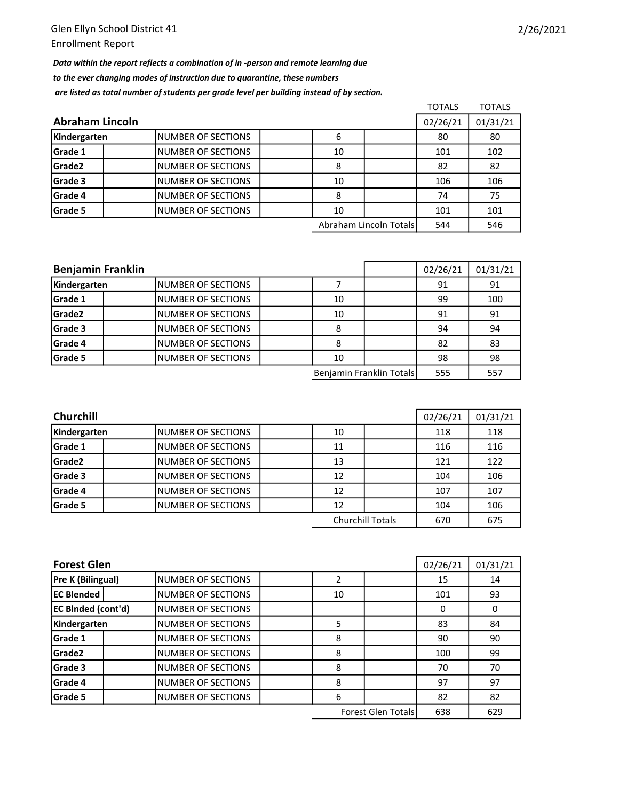Data within the report reflects a combination of in -person and remote learning due to the ever changing modes of instruction due to quarantine, these numbers are listed as total number of students per grade level per building instead of by section.

|                 |                     |          |                        | <b>TOTALS</b> | <b>TOTALS</b> |
|-----------------|---------------------|----------|------------------------|---------------|---------------|
| Abraham Lincoln | 02/26/21            | 01/31/21 |                        |               |               |
| Kindergarten    | INUMBER OF SECTIONS | 6        |                        | 80            | 80            |
| Grade 1         | INUMBER OF SECTIONS | 10       |                        | 101           | 102           |
| Grade2          | INUMBER OF SECTIONS | 8        |                        | 82            | 82            |
| Grade 3         | INUMBER OF SECTIONS | 10       |                        | 106           | 106           |
| Grade 4         | INUMBER OF SECTIONS | 8        |                        | 74            | 75            |
| Grade 5         | INUMBER OF SECTIONS | 10       |                        | 101           | 101           |
|                 |                     |          | Abraham Lincoln Totals | 544           | 546           |

| <b>Benjamin Franklin</b> |                           | 02/26/21 | 01/31/21                 |     |     |
|--------------------------|---------------------------|----------|--------------------------|-----|-----|
| Kindergarten             | INUMBER OF SECTIONS       |          |                          | 91  | 91  |
| Grade 1                  | INUMBER OF SECTIONS       | 10       |                          | 99  | 100 |
| Grade <sub>2</sub>       | INUMBER OF SECTIONS       | 10       |                          | 91  | 91  |
| Grade 3                  | INUMBER OF SECTIONS       | 8        |                          | 94  | 94  |
| Grade 4                  | <b>NUMBER OF SECTIONS</b> | 8        |                          | 82  | 83  |
| Grade 5                  | INUMBER OF SECTIONS       | 10       |                          | 98  | 98  |
|                          |                           |          | Benjamin Franklin Totals | 555 | 557 |

| <b>Churchill</b> | 02/26/21                  | 01/31/21 |                         |     |     |
|------------------|---------------------------|----------|-------------------------|-----|-----|
| Kindergarten     | <b>NUMBER OF SECTIONS</b> | 10       |                         | 118 | 118 |
| <b>Grade 1</b>   | <b>NUMBER OF SECTIONS</b> | 11       |                         | 116 | 116 |
| Grade2           | INUMBER OF SECTIONS       | 13       |                         | 121 | 122 |
| Grade 3          | <b>NUMBER OF SECTIONS</b> | 12       |                         | 104 | 106 |
| <b>Grade 4</b>   | <b>NUMBER OF SECTIONS</b> | 12       |                         | 107 | 107 |
| <b>Grade 5</b>   | INUMBER OF SECTIONS       | 12       |                         | 104 | 106 |
|                  |                           |          | <b>Churchill Totals</b> | 670 | 675 |

| <b>Forest Glen</b>        | 02/26/21                  | 01/31/21 |                           |     |     |
|---------------------------|---------------------------|----------|---------------------------|-----|-----|
| Pre K (Bilingual)         | INUMBER OF SECTIONS       |          |                           | 15  | 14  |
| <b>EC Blended</b>         | <b>NUMBER OF SECTIONS</b> | 10       |                           | 101 | 93  |
| <b>EC BInded (cont'd)</b> | <b>NUMBER OF SECTIONS</b> |          |                           | 0   | 0   |
| Kindergarten              | NUMBER OF SECTIONS        | 5        |                           | 83  | 84  |
| Grade 1                   | <b>NUMBER OF SECTIONS</b> | 8        |                           | 90  | 90  |
| Grade <sub>2</sub>        | <b>NUMBER OF SECTIONS</b> | 8        |                           | 100 | 99  |
| Grade 3                   | <b>NUMBER OF SECTIONS</b> | 8        |                           | 70  | 70  |
| Grade 4                   | <b>NUMBER OF SECTIONS</b> | 8        |                           | 97  | 97  |
| Grade 5                   | <b>NUMBER OF SECTIONS</b> | 6        |                           | 82  | 82  |
|                           |                           |          | <b>Forest Glen Totals</b> | 638 | 629 |